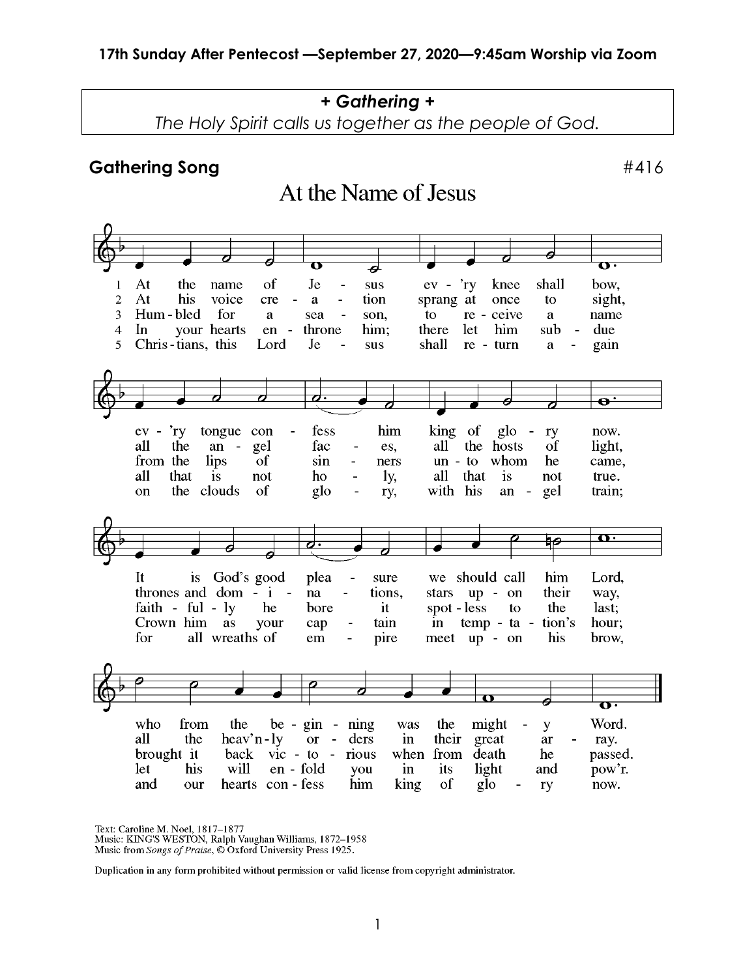### *+ Gathering +*

*The Holy Spirit calls us together as the people of God.*

At the Name of Jesus

#### Gathering Song **Exercise 2018**

#### G Ō  $\overline{\mathbf{U}}$ ◢  $At$ of **Je**  $ev - 'ry$ knee shall bow. the name sus  $\mathbf{1}$  $\overline{2}$ At his voice sight, cre tion sprang at once  $\overline{a}$ a  $\overline{a}$ to  $\overline{3}$ Hum-bled for son, to re - ceive name a sea a  $\overline{4}$ **In** your hearts  $en$ throne him: there let him sub due 5 Chris-tians, this Lord Je shall re - turn gain sus a  $\overline{\mathbf{e}}$ Ġ fess him king of now.  $r_y$ tongue con  $\overline{a}$ glo ev  $\blacksquare$  $\overline{\phantom{a}}$ ry the gel the hosts all an fac es, all of light,  $\sim$  $\overline{a}$ from the lips  $\overline{\text{of}}$  $un - to$ whom he came, sin  $\overline{a}$ ners all that is not ho  $\overline{a}$ ly, all that is not true. the clouds of glo with his train; an gel on ry,  $\overline{\phantom{a}}$  $\overline{\mathbf{O}}$ hΘ It  $is$ God's good we should call him Lord, plea sure thrones and dom  $- i$   $$ their na tions. stars up - on way, faith - ful - ly spot - less the last; he it bore to Crown him as your cap tain in temp - ta tion's hour;  $\overline{a}$ for all wreaths of pire em  $\overline{a}$ meet  $up - on$ his brow,  $\overline{\mathbf{U}}$ from  $be - gin - ning$ might Word. who the was the y all the  $\text{heavy}$ 'n -  $\text{ly}$  $\alpha$ ders in their great  $\sim$ ar ray. brought it back  $\vec{v}$  - to rious when from death passed. he en - fold let his will in its light pow'r. you and hearts con - fess him and our king of glo ry now.

Text: Caroline M. Noel, 1817–1877<br>Music: KING'S WESTON, Ralph Vaughan Williams, 1872–1958

Music from Songs of Praise, © Oxford University Press 1925.

Duplication in any form prohibited without permission or valid license from copyright administrator.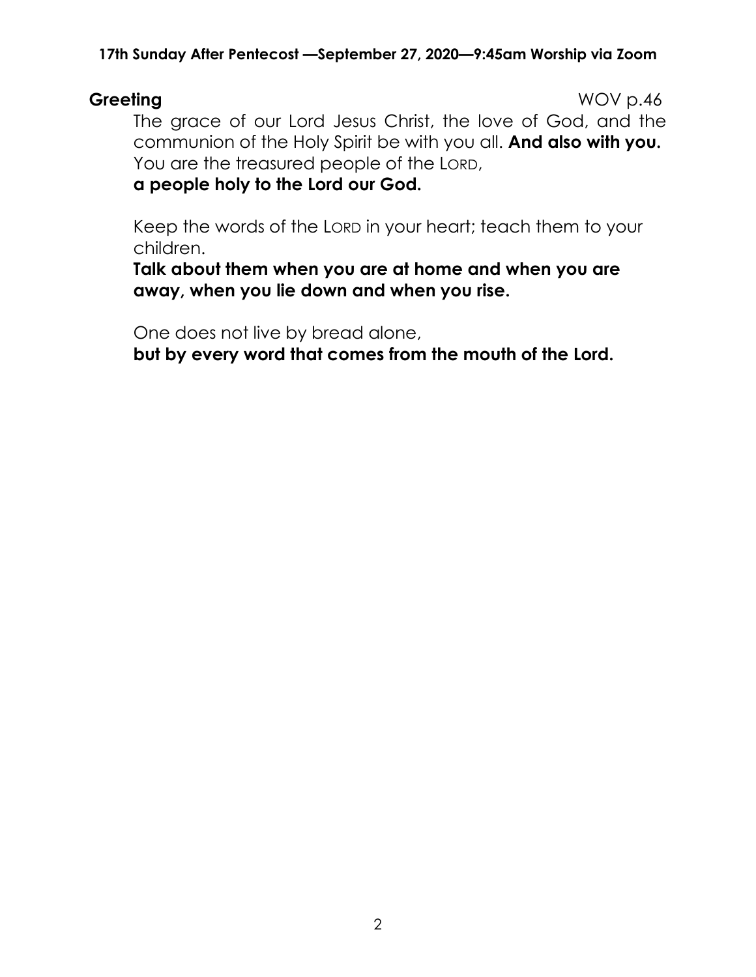**Greeting** WOV p.46 The grace of our Lord Jesus Christ, the love of God, and the communion of the Holy Spirit be with you all. **And also with you.** You are the treasured people of the LORD,

### **a people holy to the Lord our God.**

Keep the words of the LORD in your heart; teach them to your children.

**Talk about them when you are at home and when you are away, when you lie down and when you rise.**

One does not live by bread alone,

**but by every word that comes from the mouth of the Lord.**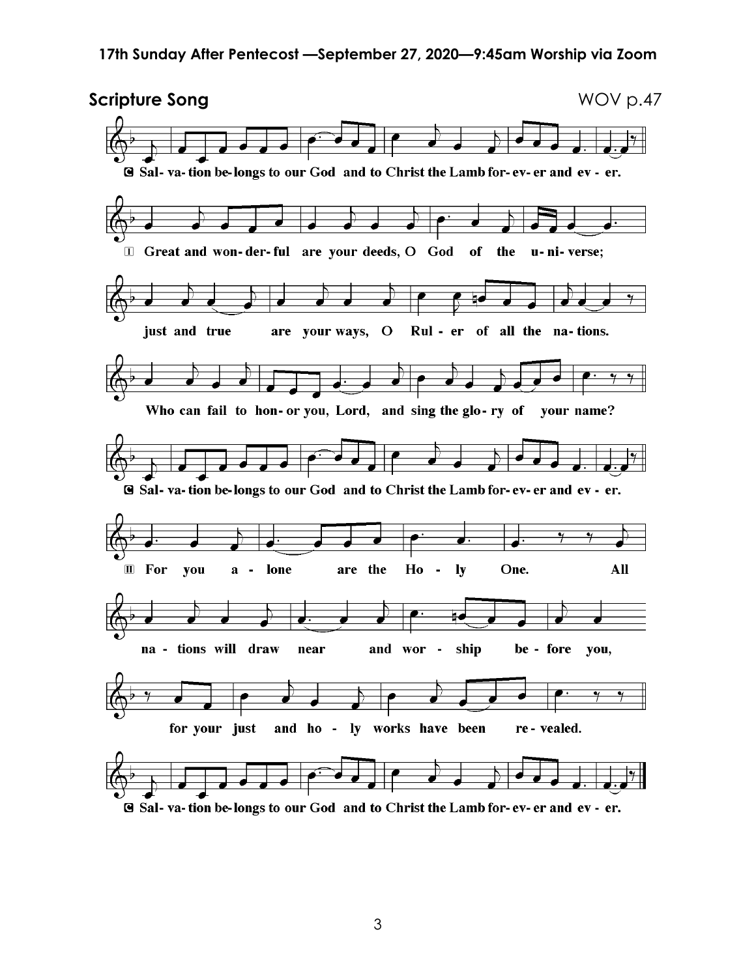

**G** Sal-va-tion be-longs to our God and to Christ the Lamb for-ev-er and ev-er.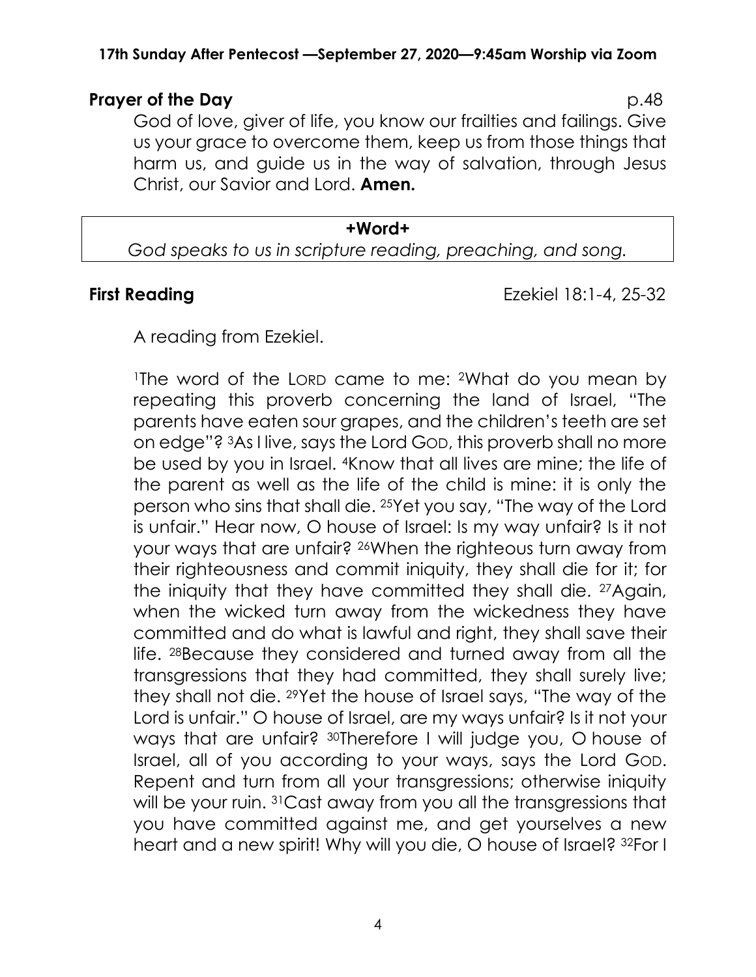### **Prayer of the Day** p.48

God of love, giver of life, you know our frailties and failings. Give us your grace to overcome them, keep us from those things that harm us, and guide us in the way of salvation, through Jesus Christ, our Savior and Lord. **Amen.**

# **+Word+** *God speaks to us in scripture reading, preaching, and song.*

**First Reading Ezekiel 18:1-4, 25-32** 

A reading from Ezekiel.

<sup>1</sup>The word of the LORD came to me: 2What do you mean by repeating this proverb concerning the land of Israel, "The parents have eaten sour grapes, and the children's teeth are set on edge"? 3As I live, says the Lord GOD, this proverb shall no more be used by you in Israel. 4Know that all lives are mine; the life of the parent as well as the life of the child is mine: it is only the person who sins that shall die. 25Yet you say, "The way of the Lord is unfair." Hear now, O house of Israel: Is my way unfair? Is it not your ways that are unfair? <sup>26</sup>When the righteous turn away from their righteousness and commit iniquity, they shall die for it; for the iniquity that they have committed they shall die. 27Again, when the wicked turn away from the wickedness they have committed and do what is lawful and right, they shall save their life. 28Because they considered and turned away from all the transgressions that they had committed, they shall surely live; they shall not die. 29Yet the house of Israel says, "The way of the Lord is unfair." O house of Israel, are my ways unfair? Is it not your ways that are unfair? 30Therefore I will judge you, O house of Israel, all of you according to your ways, says the Lord GOD. Repent and turn from all your transgressions; otherwise iniquity will be your ruin. <sup>31</sup> Cast away from you all the transgressions that you have committed against me, and get yourselves a new heart and a new spirit! Why will you die, O house of Israel? 32For I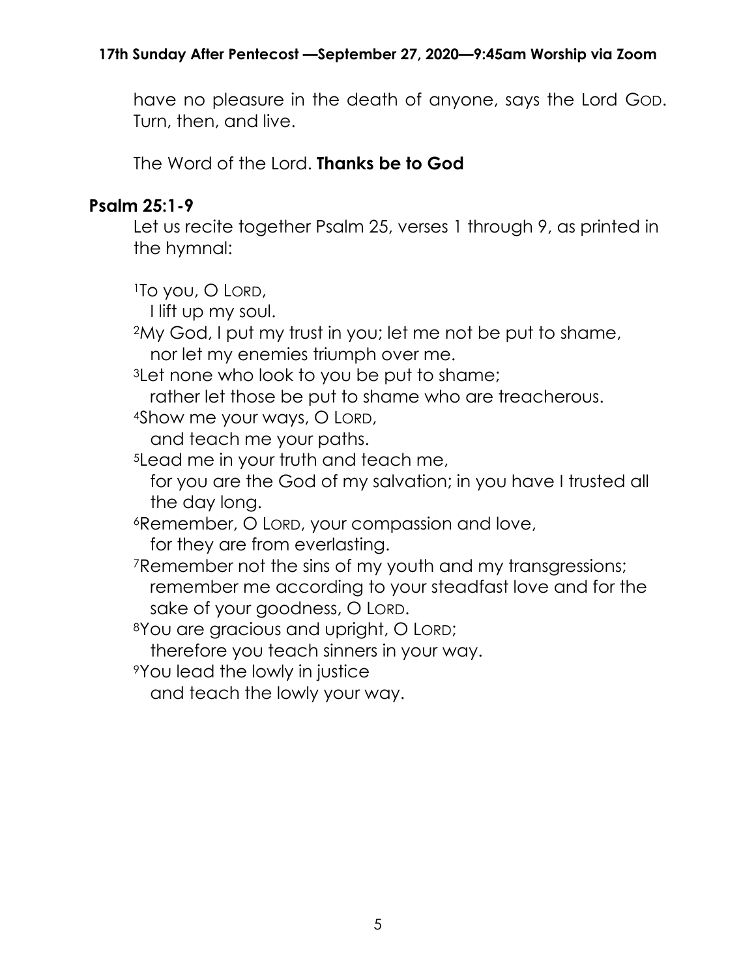have no pleasure in the death of anyone, says the Lord GOD. Turn, then, and live.

The Word of the Lord. **Thanks be to God**

# **Psalm 25:1-9**

Let us recite together Psalm 25, verses 1 through 9, as printed in the hymnal:

<sup>1</sup>To you, O LORD, I lift up my soul. <sup>2</sup>My God, I put my trust in you; let me not be put to shame, nor let my enemies triumph over me. 3Let none who look to you be put to shame; rather let those be put to shame who are treacherous. <sup>4</sup>Show me your ways, O LORD, and teach me your paths. <sup>5</sup>Lead me in your truth and teach me, for you are the God of my salvation; in you have I trusted all the day long. <sup>6</sup>Remember, O LORD, your compassion and love, for they are from everlasting. <sup>7</sup>Remember not the sins of my youth and my transgressions; remember me according to your steadfast love and for the sake of your goodness, O LORD. <sup>8</sup>You are gracious and upright, O LORD; therefore you teach sinners in your way. <sup>9</sup>You lead the lowly in justice

and teach the lowly your way.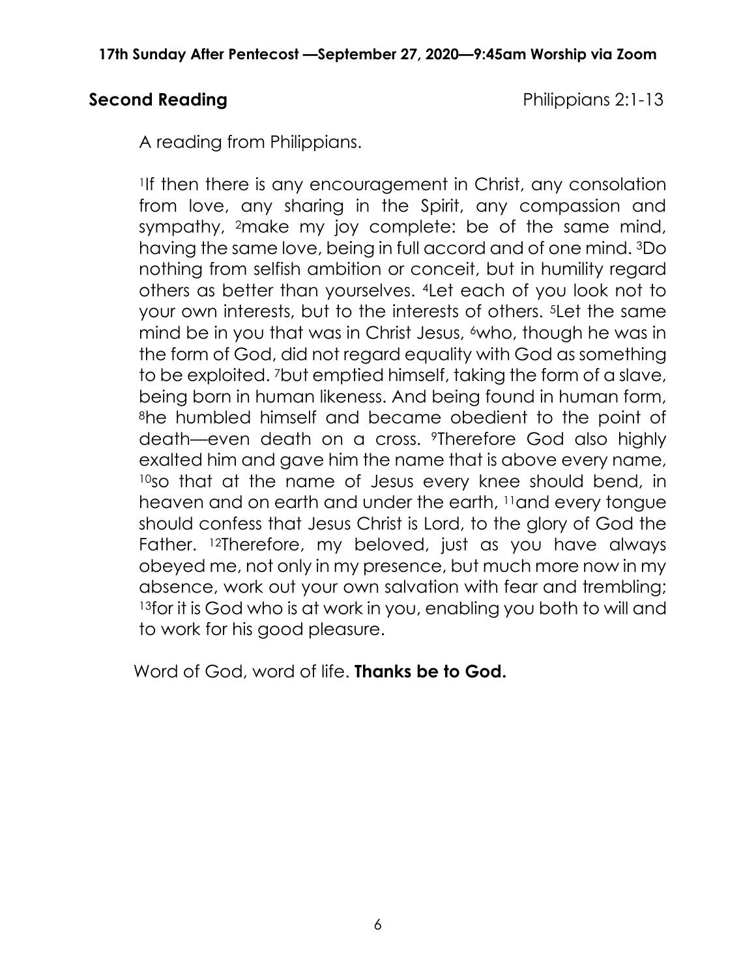## **Second Reading Second Reading Philippians 2:1-13**

A reading from Philippians.

<sup>1</sup>If then there is any encouragement in Christ, any consolation from love, any sharing in the Spirit, any compassion and sympathy, 2make my joy complete: be of the same mind, having the same love, being in full accord and of one mind. 3Do nothing from selfish ambition or conceit, but in humility regard others as better than yourselves. 4Let each of you look not to your own interests, but to the interests of others. 5Let the same mind be in you that was in Christ Jesus, <sup>6</sup>who, though he was in the form of God, did not regard equality with God as something to be exploited. 7but emptied himself, taking the form of a slave, being born in human likeness. And being found in human form, <sup>8</sup>he humbled himself and became obedient to the point of death—even death on a cross. 9Therefore God also highly exalted him and gave him the name that is above every name, <sup>10</sup>so that at the name of Jesus every knee should bend, in heaven and on earth and under the earth, <sup>11</sup>and every tongue should confess that Jesus Christ is Lord, to the glory of God the Father. <sup>12</sup>Therefore, my beloved, just as you have always obeyed me, not only in my presence, but much more now in my absence, work out your own salvation with fear and trembling; 13for it is God who is at work in you, enabling you both to will and to work for his good pleasure.

Word of God, word of life. **Thanks be to God.**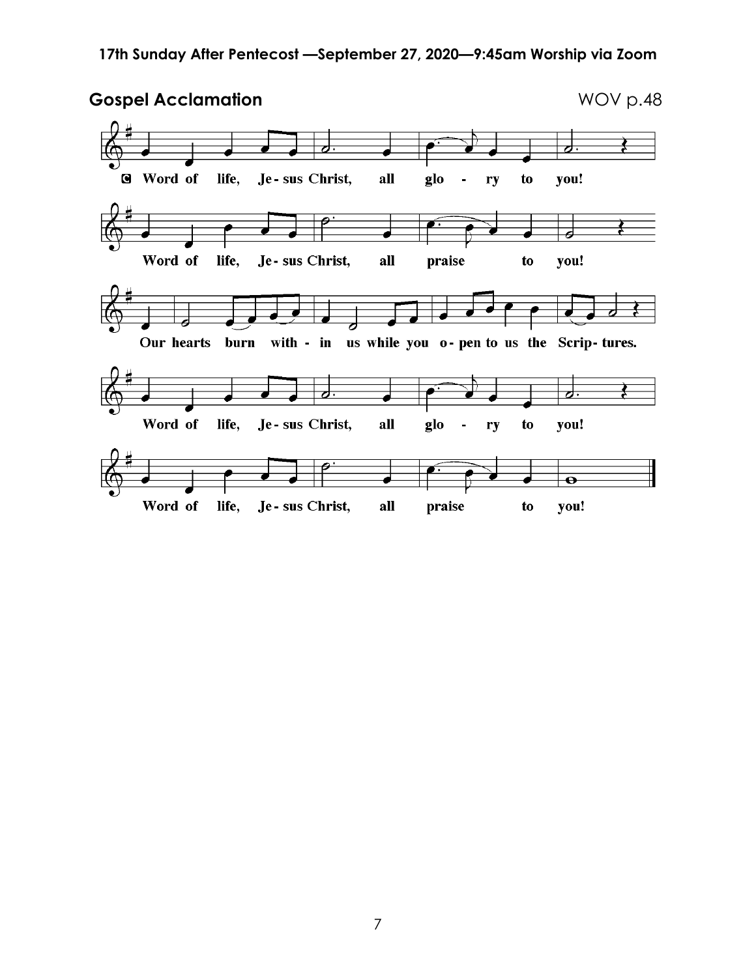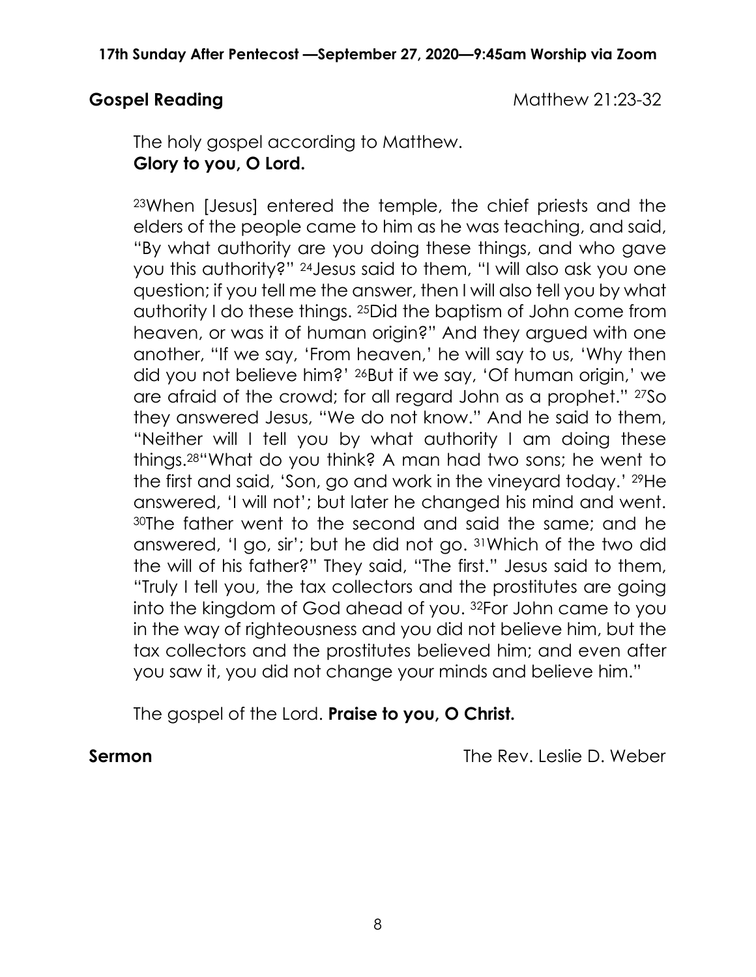**Gospel Reading Cospel Reading Cospel Reading Cospel Reading Cospel Reading Cospel Reading Cospel Reading Cospel Reading Cospel Reading Cospel Reading Cospel Reading Cospel Reading Cospel Reading Cospel Reading Cospel Read** 

The holy gospel according to Matthew. **Glory to you, O Lord.**

<sup>23</sup>When [Jesus] entered the temple, the chief priests and the elders of the people came to him as he was teaching, and said, "By what authority are you doing these things, and who gave you this authority?" 24Jesus said to them, "I will also ask you one question; if you tell me the answer, then I will also tell you by what authority I do these things. 25Did the baptism of John come from heaven, or was it of human origin?" And they argued with one another, "If we say, 'From heaven,' he will say to us, 'Why then did you not believe him?' 26But if we say, 'Of human origin,' we are afraid of the crowd; for all regard John as a prophet." 27So they answered Jesus, "We do not know." And he said to them, "Neither will I tell you by what authority I am doing these things. <sup>28</sup>"What do you think? A man had two sons; he went to the first and said, 'Son, go and work in the vineyard today.' 29He answered, 'I will not'; but later he changed his mind and went. <sup>30</sup>The father went to the second and said the same; and he answered, 'I go, sir'; but he did not go. 31Which of the two did the will of his father?" They said, "The first." Jesus said to them, "Truly I tell you, the tax collectors and the prostitutes are going into the kingdom of God ahead of you. 32For John came to you in the way of righteousness and you did not believe him, but the tax collectors and the prostitutes believed him; and even after you saw it, you did not change your minds and believe him."

The gospel of the Lord. **Praise to you, O Christ.**

**Sermon** The Rev. Leslie D. Weber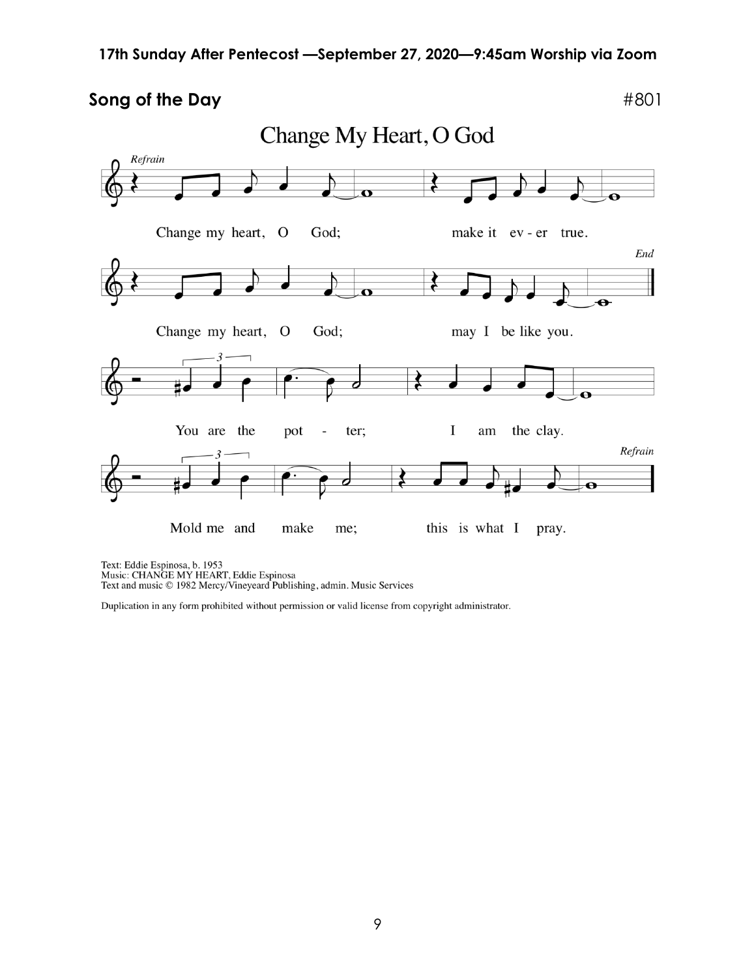### **Song of the Day**  $#801$



Text: Eddie Espinosa, b. 1953<br>Music: CHANGE MY HEART, Eddie Espinosa<br>Text and music © 1982 Mercy/Vineyeard Publishing, admin. Music Services

Duplication in any form prohibited without permission or valid license from copyright administrator.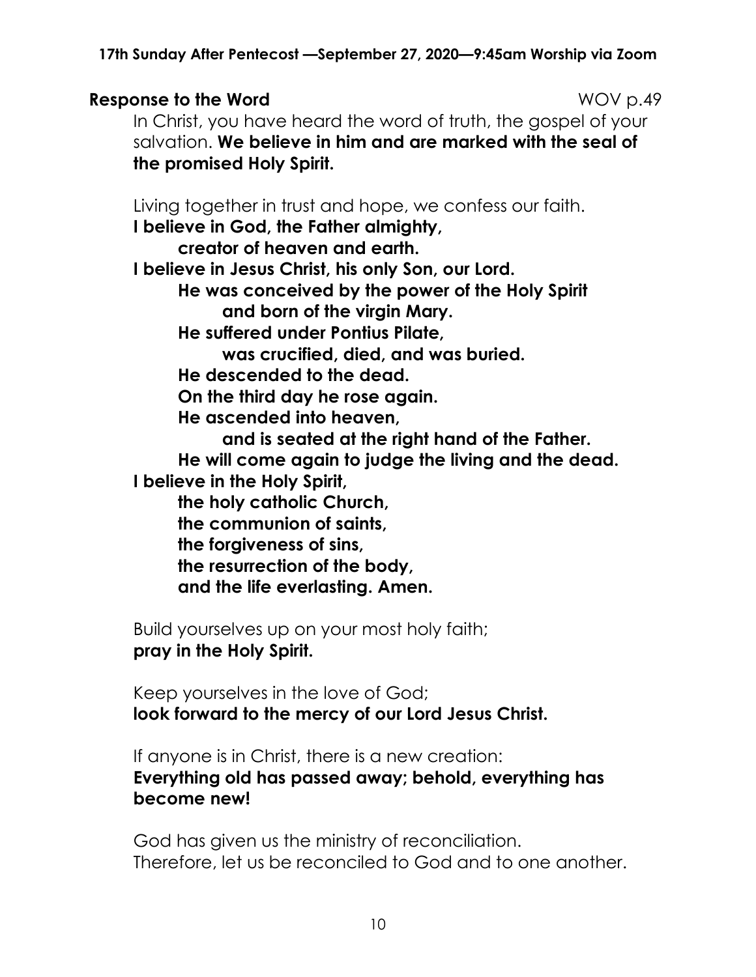## **Response to the Word** MOV p.49

In Christ, you have heard the word of truth, the gospel of your salvation. **We believe in him and are marked with the seal of the promised Holy Spirit.**

Living together in trust and hope, we confess our faith.

**I believe in God, the Father almighty,**

**creator of heaven and earth.**

**I believe in Jesus Christ, his only Son, our Lord.**

**He was conceived by the power of the Holy Spirit and born of the virgin Mary.**

**He suffered under Pontius Pilate,**

**was crucified, died, and was buried.**

**He descended to the dead.**

**On the third day he rose again.**

**He ascended into heaven,**

**and is seated at the right hand of the Father. He will come again to judge the living and the dead. I believe in the Holy Spirit,**

**the holy catholic Church,**

**the communion of saints,**

**the forgiveness of sins,**

**the resurrection of the body,**

**and the life everlasting. Amen.**

Build yourselves up on your most holy faith; **pray in the Holy Spirit.**

Keep yourselves in the love of God; **look forward to the mercy of our Lord Jesus Christ.**

If anyone is in Christ, there is a new creation: **Everything old has passed away; behold, everything has become new!**

God has given us the ministry of reconciliation. Therefore, let us be reconciled to God and to one another.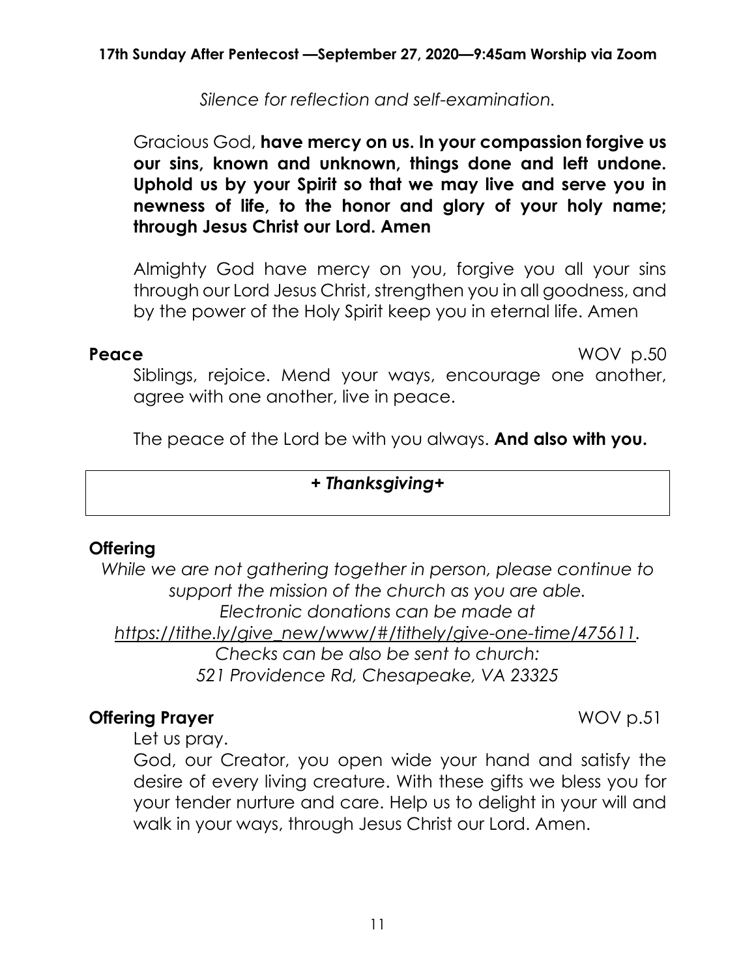*Silence for reflection and self-examination.*

## Gracious God, **have mercy on us. In your compassion forgive us our sins, known and unknown, things done and left undone. Uphold us by your Spirit so that we may live and serve you in newness of life, to the honor and glory of your holy name; through Jesus Christ our Lord. Amen**

Almighty God have mercy on you, forgive you all your sins through our Lord Jesus Christ, strengthen you in all goodness, and by the power of the Holy Spirit keep you in eternal life. Amen

**Peace** WOV p.50

Siblings, rejoice. Mend your ways, encourage one another, aaree with one another, live in peace.

The peace of the Lord be with you always. **And also with you.**

### *+ Thanksgiving+*

## **Offering**

*While we are not gathering together in person, please continue to support the mission of the church as you are able. Electronic donations can be made at [https://tithe.ly/give\\_new/www/#/tithely/give-one-time/475611.](https://tithe.ly/give_new/www/#/tithely/give-one-time/475611) Checks can be also be sent to church: 521 Providence Rd, Chesapeake, VA 23325*

## **Offering Prayer** WOV p.51

Let us pray.

God, our Creator, you open wide your hand and satisfy the desire of every living creature. With these gifts we bless you for your tender nurture and care. Help us to delight in your will and walk in your ways, through Jesus Christ our Lord. Amen.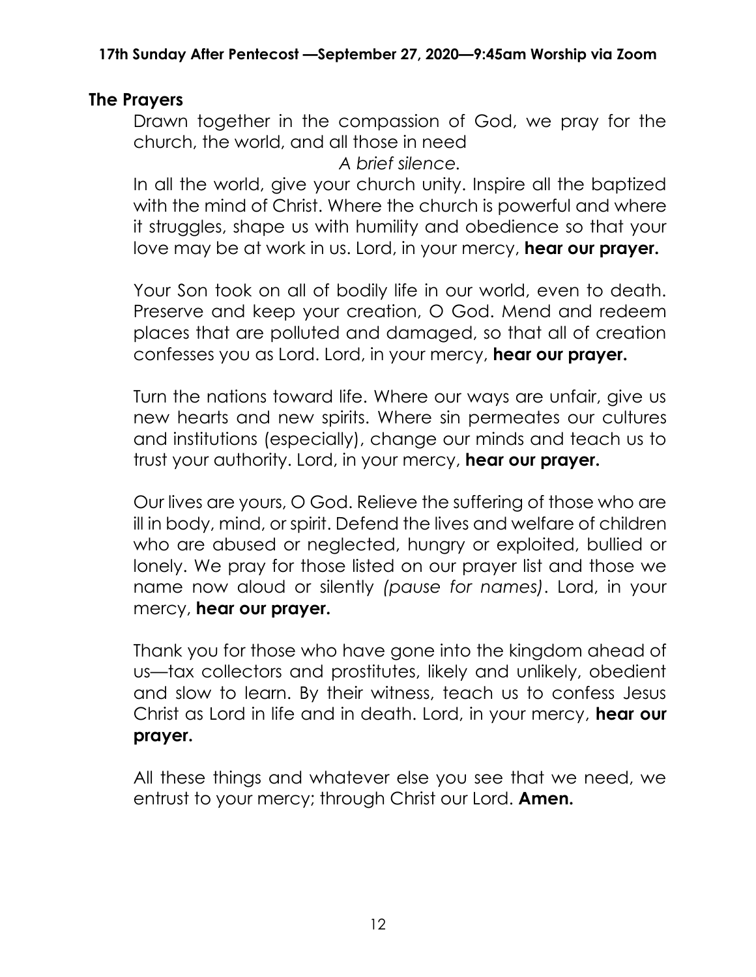# **The Prayers**

Drawn together in the compassion of God, we pray for the church, the world, and all those in need

*A brief silence.*

In all the world, give your church unity. Inspire all the baptized with the mind of Christ. Where the church is powerful and where it struggles, shape us with humility and obedience so that your love may be at work in us. Lord, in your mercy, **hear our prayer.**

Your Son took on all of bodily life in our world, even to death. Preserve and keep your creation, O God. Mend and redeem places that are polluted and damaged, so that all of creation confesses you as Lord. Lord, in your mercy, **hear our prayer.**

Turn the nations toward life. Where our ways are unfair, give us new hearts and new spirits. Where sin permeates our cultures and institutions (especially), change our minds and teach us to trust your authority. Lord, in your mercy, **hear our prayer.**

Our lives are yours, O God. Relieve the suffering of those who are ill in body, mind, or spirit. Defend the lives and welfare of children who are abused or neglected, hungry or exploited, bullied or lonely. We pray for those listed on our prayer list and those we name now aloud or silently *(pause for names)*. Lord, in your mercy, **hear our prayer.**

Thank you for those who have gone into the kingdom ahead of us—tax collectors and prostitutes, likely and unlikely, obedient and slow to learn. By their witness, teach us to confess Jesus Christ as Lord in life and in death. Lord, in your mercy, **hear our prayer.**

All these things and whatever else you see that we need, we entrust to your mercy; through Christ our Lord. **Amen.**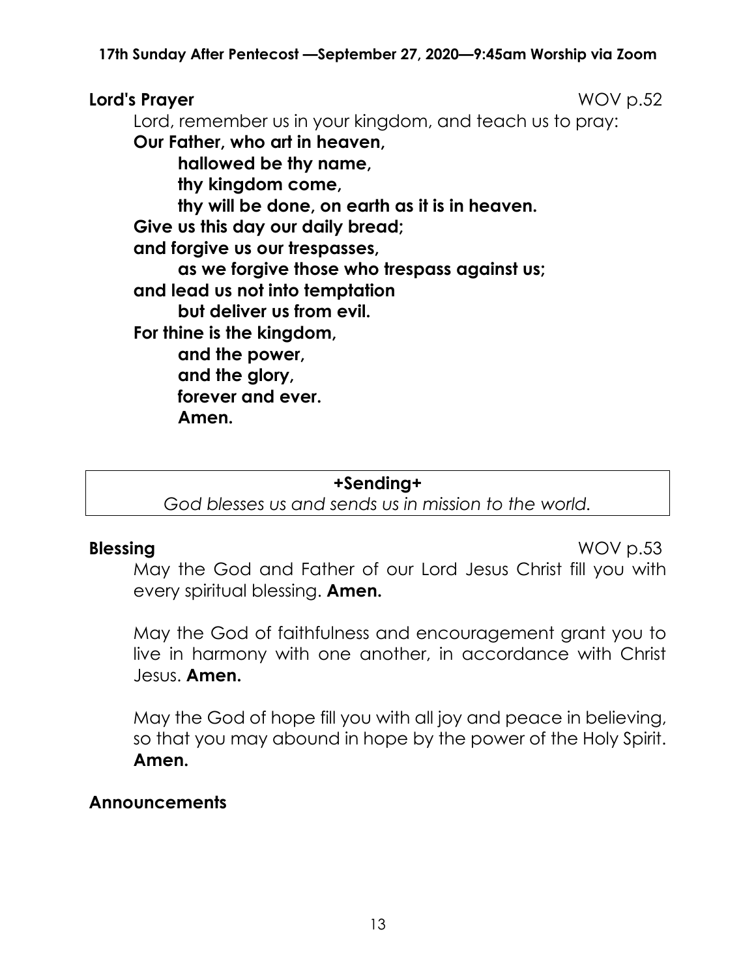## **Lord's Prayer** WOV p.52

Lord, remember us in your kingdom, and teach us to pray:

**Our Father, who art in heaven, hallowed be thy name, thy kingdom come, thy will be done, on earth as it is in heaven. Give us this day our daily bread; and forgive us our trespasses, as we forgive those who trespass against us; and lead us not into temptation but deliver us from evil. For thine is the kingdom, and the power, and the glory, forever and ever. Amen.**

#### **+Sending+**

*God blesses us and sends us in mission to the world.*

**Blessing** WOV p.53

May the God and Father of our Lord Jesus Christ fill you with every spiritual blessing. **Amen.**

May the God of faithfulness and encouragement grant you to live in harmony with one another, in accordance with Christ Jesus. **Amen.**

May the God of hope fill you with all joy and peace in believing, so that you may abound in hope by the power of the Holy Spirit. **Amen.**

### **Announcements**